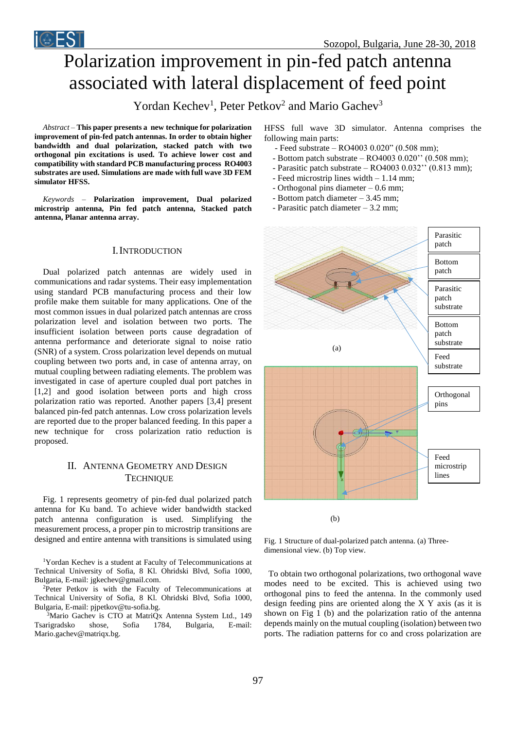# Polarization improvement in pin-fed patch antenna associated with lateral displacement of feed point

Yordan Kechev<sup>1</sup>, Peter Petkov<sup>2</sup> and Mario Gachev<sup>3</sup>

*Abstract –* **This paper presents a new technique for polarization improvement of pin-fed patch antennas. In order to obtain higher bandwidth and dual polarization, stacked patch with two orthogonal pin excitations is used. To achieve lower cost and compatibility with standard PCB manufacturing process RO4003 substrates are used. Simulations are made with full wave 3D FEM simulator HFSS.**

*Keywords –* **Polarization improvement, Dual polarized microstrip antenna, Pin fed patch antenna, Stacked patch antenna, Planar antenna array.**

## I.INTRODUCTION

Dual polarized patch antennas are widely used in communications and radar systems. Their easy implementation using standard PCB manufacturing process and their low profile make them suitable for many applications. One of the most common issues in dual polarized patch antennas are cross polarization level and isolation between two ports. The insufficient isolation between ports cause degradation of antenna performance and deteriorate signal to noise ratio (SNR) of a system. Cross polarization level depends on mutual coupling between two ports and, in case of antenna array, on mutual coupling between radiating elements. The problem was investigated in case of aperture coupled dual port patches in [1,2] and good isolation between ports and high cross polarization ratio was reported. Another papers [3,4] present balanced pin-fed patch antennas. Low cross polarization levels are reported due to the proper balanced feeding. In this paper a new technique for cross polarization ratio reduction is proposed.

# II. ANTENNA GEOMETRY AND DESIGN **TECHNIQUE**

Fig. 1 represents geometry of pin-fed dual polarized patch antenna for Ku band. To achieve wider bandwidth stacked patch antenna configuration is used. Simplifying the measurement process, a proper pin to microstrip transitions are designed and entire antenna with transitions is simulated using

<sup>1</sup>Yordan Kechev is a student at Faculty of Telecommunications at Technical University of Sofia, 8 Kl. Ohridski Blvd, Sofia 1000, Bulgaria, E-mail: jgkechev@gmail.com.

<sup>2</sup>Peter Petkov is with the Faculty of Telecommunications at Technical University of Sofia, 8 Kl. Ohridski Blvd, Sofia 1000, Bulgaria, E-mail: pjpetkov@tu-sofia.bg.

<sup>3</sup>Mario Gachev is CTO at MatriQx Antenna System Ltd., 149 Tsarigradsko shose, Sofia 1784, Bulgaria, E-mail: Mario.gachev@matriqx.bg.

HFSS full wave 3D simulator. Antenna comprises the following main parts:

- Feed substrate RO4003 0.020" (0.508 mm);
- Bottom patch substrate  $RO4003$   $0.020$ <sup>"</sup>  $(0.508$  mm);
- Parasitic patch substrate RO4003 0.032'' (0.813 mm);
- Feed microstrip lines width 1.14 mm;
- Orthogonal pins diameter  $-0.6$  mm;
- Bottom patch diameter 3.45 mm;
- Parasitic patch diameter 3.2 mm;



Fig. 1 Structure of dual-polarized patch antenna. (a) Threedimensional view. (b) Top view.

 To obtain two orthogonal polarizations, two orthogonal wave modes need to be excited. This is achieved using two orthogonal pins to feed the antenna. In the commonly used design feeding pins are oriented along the X Y axis (as it is shown on Fig 1 (b) and the polarization ratio of the antenna depends mainly on the mutual coupling (isolation) between two ports. The radiation patterns for co and cross polarization are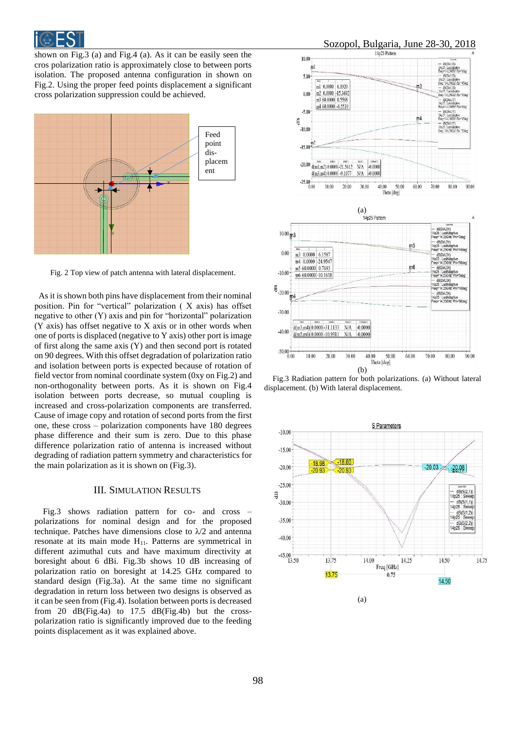

shown on Fig.3 (a) and Fig.4 (a). As it can be easily seen the cros polarization ratio is approximately close to between ports isolation. The proposed antenna configuration in shown on Fig.2. Using the proper feed points displacement a significant cross polarization suppression could be achieved.



Fig. 2 Top view of patch antenna with lateral displacement.

 As it is shown both pins have displacement from their nominal position. Pin for "vertical" polarization ( X axis) has offset negative to other (Y) axis and pin for "horizontal" polarization  $(Y \text{ axis})$  has offset negative to  $X$  axis or in other words when one of ports is displaced (negative to Y axis) other port is image of first along the same axis (Y) and then second port is rotated on 90 degrees. With this offset degradation of polarization ratio and isolation between ports is expected because of rotation of field vector from nominal coordinate system (0xy on Fig.2) and non-orthogonality between ports. As it is shown on Fig.4 isolation between ports decrease, so mutual coupling is increased and cross-polarization components are transferred. Cause of image copy and rotation of second ports from the first one, these cross – polarization components have 180 degrees phase difference and their sum is zero. Due to this phase difference polarization ratio of antenna is increased without degrading of radiation pattern symmetry and characteristics for the main polarization as it is shown on (Fig.3).

### III. SIMULATION RESULTS

Fig.3 shows radiation pattern for co- and cross – polarizations for nominal design and for the proposed technique. Patches have dimensions close to  $\lambda/2$  and antenna resonate at its main mode  $H_{11}$ . Patterns are symmetrical in different azimuthal cuts and have maximum directivity at boresight about 6 dBi. Fig.3b shows 10 dB increasing of polarization ratio on boresight at 14.25 GHz compared to standard design (Fig.3a). At the same time no significant degradation in return loss between two designs is observed as it can be seen from (Fig.4). Isolation between ports is decreased from 20 dB(Fig.4a) to 17.5 dB(Fig.4b) but the crosspolarization ratio is significantly improved due to the feeding points displacement as it was explained above.





Fig.3 Radiation pattern for both polarizations. (a) Without lateral displacement. (b) With lateral displacement.



(a)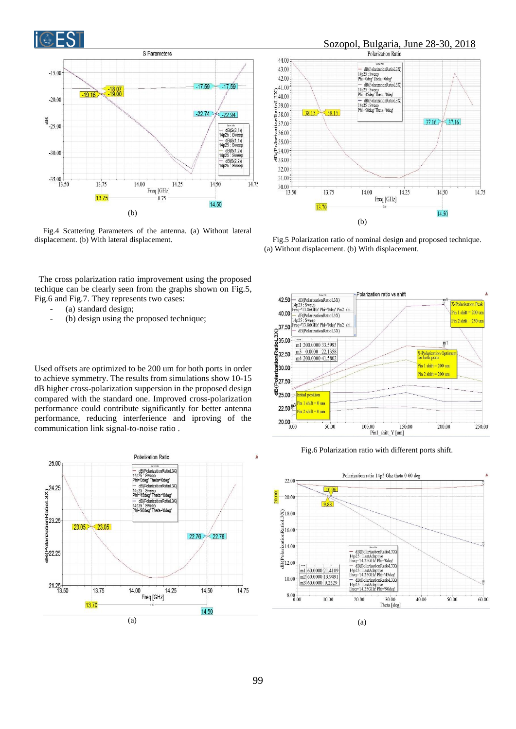



Fig.4 Scattering Parameters of the antenna. (a) Without lateral displacement. (b) With lateral displacement.

(a) standard design;

Sozopol, Bulgaria, June 28-30, 2018 44.00 CONNETRICTION CONTRACTOR<br>
14p25 : Sweep<br>
Phi Udeg Theta Udeg | 43.00 42.00 - dB(PolarizationRatioL3X)<br>14p25 : Sweep<br>Phi '4Sdeg' Theta '0deg'  $\frac{241.00}{5,40.00}$ dB(PolarizationRatioL3X - dB(PolarizationRatio<br>14p25 : Sweep<br>Phi '90deg' Theta '0deg'  $\frac{1}{2}39.00$  $38.15$  $< 38.15$  $238.00$  $37.16$  $\frac{2}{37.16}$  $\frac{5}{2}37.00$  $\bar{3}36.00$  $\frac{1}{6}$  35.00<br>  $\frac{6}{6}$  34.00<br>  $\frac{6}{3}$  33.00  $32.00$ 31.00  $30.00 + \frac{1}{13.50}$ 13.75 14.00 14.25 14.50 14.75 Freq [GHz] 13.70 14.50 (b)

Fig.5 Polarization ratio of nominal design and proposed technique. (a) Without displacement. (b) With displacement.

> **X-Polarization Peak**  $\overline{P_{in} 1 \text{ shift}} = 200 \text{ nm}$

 $\overline{P}$ in 2 shift = 250 um

250.00

 $m1$ 

200.00

X-Polarization Optimur<br>for both ports

 $Pin 1 shift = 200 um$ 

 $Pin 2 shift = 200 um$ 



 $\frac{8}{6}$  27.50  $\widetilde{\mathfrak{g}}_{25.00}$ 

 $22.50\frac{m}{3}$ 

 $20.00_{0.00}^{+}$ 

Initial position  $Pin 1 shift = 0 un$ 

Pin 2 shift =  $0 \text{ um}$ 

 $5000$ 

Used offsets are optimized to be 200 um for both ports in order to achieve symmetry. The results from simulations show 10-15 dB higher cross-polarization suppersion in the proposed design compared with the standard one. Improved cross-polarization performance could contribute significantly for better antenna performance, reducing interferience and iproving of the communication link signal-to-noise ratio .





150.00

Fig.6 Polarization ratio with different ports shift.

100.00